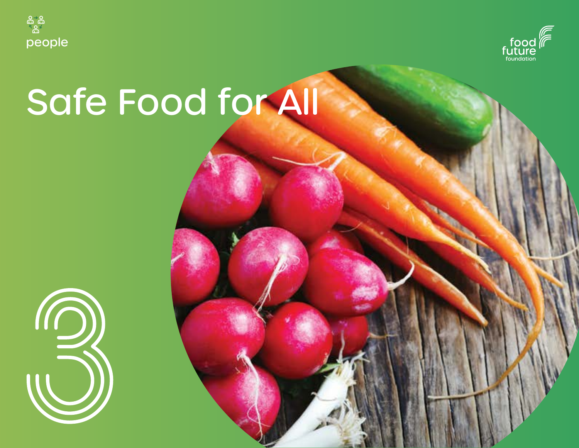



# Safe Food for All

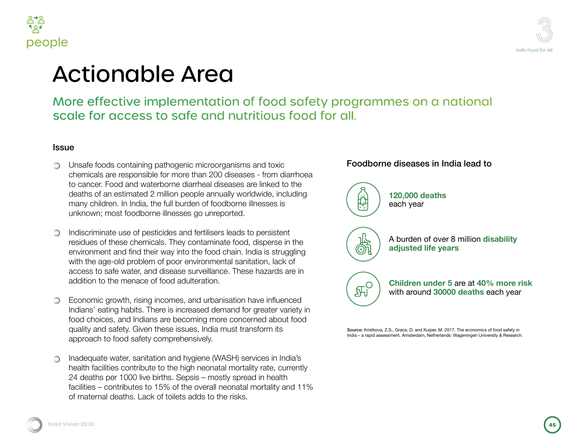



### ifety programmes on a national od for all.

### Foodborne diseases in India lead to

6

 $\mathbb{F}_0^{\circ}$ 

**120,000 deaths**  each year

A burden of over 8 million **disability adjusted life years**

**Children under 5** are at **40% more risk** with around **30000 deaths** each year

Source: Kristkova, Z.S., Grace, D. and Kuiper, M. 2017. The economics of food safety in India – a rapid assessment. Amsterdam, Netherlands: Wageningen University & Research.

**Food Vision 2030 Food Vision 2030451**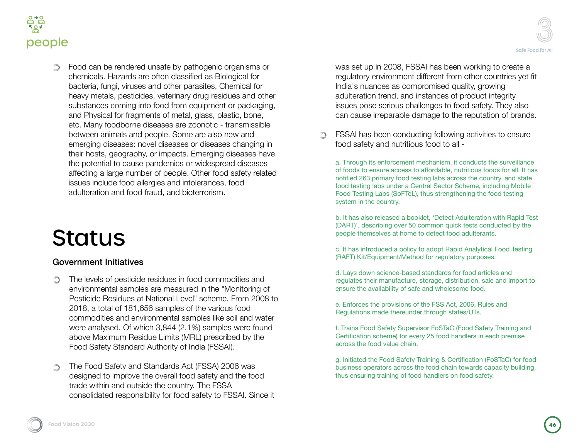

Food can be rendered unsafe by pathogenic organisms or chemicals. Hazards are often classified as Biological for bacteria, fungi, viruses and other parasites, Chemical for heavy metals, pesticides, veterinary drug residues and other substances coming into food from equipment or packaging, and Physical for fragments of metal, glass, plastic, bone, etc. Many foodborne diseases are zoonotic - transmissible between animals and people. Some are also new and emerging diseases: novel diseases or diseases changing in their hosts, geography, or impacts. Emerging diseases have the potential to cause pandemics or widespread diseases affecting a large number of people. Other food safety related issues include food allergies and intolerances, food adulteration and food fraud, and bioterrorism.

# **Status**

### Government Initiatives

- The levels of pesticide residues in food commodities and ∩ environmental samples are measured in the "Monitoring of Pesticide Residues at National Level" scheme. From 2008 to 2018, a total of 181,656 samples of the various food commodities and environmental samples like soil and water were analysed. Of which 3,844 (2.1%) samples were found above Maximum Residue Limits (MRL) prescribed by the Food Safety Standard Authority of India (FSSAI).
- The Food Safety and Standards Act (FSSA) 2006 was ∩ designed to improve the overall food safety and the food trade within and outside the country. The FSSA consolidated responsibility for food safety to FSSAI. Since it

was set up in 2008, FSSAI has been working to create a regulatory environment different from other countries yet fit India's nuances as compromised quality, growing adulteration trend, and instances of product integrity issues pose serious challenges to food safety. They also can cause irreparable damage to the reputation of brands.

FSSAI has been conducting following activities to ensure O. food safety and nutritious food to all -

a. Through its enforcement mechanism, it conducts the surveillance of foods to ensure access to affordable, nutritious foods for all. It has notified 263 primary food testing labs across the country, and state food testing labs under a Central Sector Scheme, including Mobile Food Testing Labs (SoFTeL), thus strengthening the food testing system in the country.

b. It has also released a booklet, 'Detect Adulteration with Rapid Test (DART)', describing over 50 common quick tests conducted by the people themselves at home to detect food adulterants.

c. It has introduced a policy to adopt Rapid Analytical Food Testing (RAFT) Kit/Equipment/Method for regulatory purposes.

d. Lays down science-based standards for food articles and regulates their manufacture, storage, distribution, sale and import to ensure the availability of safe and wholesome food.

e. Enforces the provisions of the FSS Act, 2006, Rules and Regulations made thereunder through states/UTs.

f. Trains Food Safety Supervisor FoSTaC (Food Safety Training and Certification scheme) for every 25 food handlers in each premise across the food value chain.

g. Initiated the Food Safety Training & Certification (FoSTaC) for food business operators across the food chain towards capacity building, thus ensuring training of food handlers on food safety.

Safe Food for All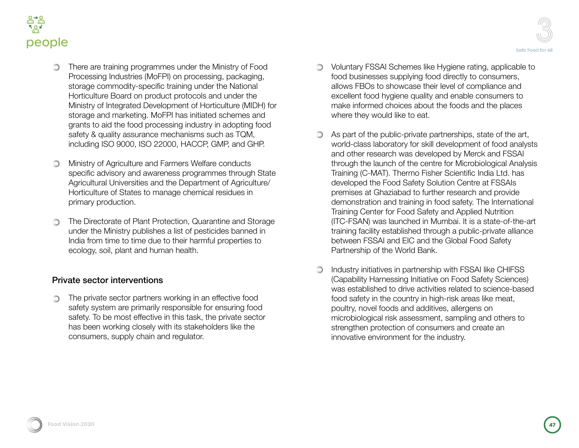

- There are training programmes under the Ministry of Food Processing Industries (MoFPI) on processing, packaging, storage commodity-specific training under the National Horticulture Board on product protocols and under the Ministry of Integrated Development of Horticulture (MIDH) for storage and marketing. MoFPI has initiated schemes and grants to aid the food processing industry in adopting food safety & quality assurance mechanisms such as TQM, including ISO 9000, ISO 22000, HACCP, GMP, and GHP.
- Ministry of Agriculture and Farmers Welfare conducts specific advisory and awareness programmes through State Agricultural Universities and the Department of Agriculture/ Horticulture of States to manage chemical residues in primary production.
- The Directorate of Plant Protection, Quarantine and Storage under the Ministry publishes a list of pesticides banned in India from time to time due to their harmful properties to ecology, soil, plant and human health.

### Private sector interventions

The private sector partners working in an effective food  $\bigcirc$ safety system are primarily responsible for ensuring food safety. To be most effective in this task, the private sector has been working closely with its stakeholders like the consumers, supply chain and regulator.

- Voluntary FSSAI Schemes like Hygiene rating, applicable to food businesses supplying food directly to consumers, allows FBOs to showcase their level of compliance and excellent food hygiene quality and enable consumers to make informed choices about the foods and the places where they would like to eat.
- As part of the public-private partnerships, state of the art, world-class laboratory for skill development of food analysts and other research was developed by Merck and FSSAI through the launch of the centre for Microbiological Analysis Training (C-MAT). Thermo Fisher Scientific India Ltd. has developed the Food Safety Solution Centre at FSSAIs premises at Ghaziabad to further research and provide demonstration and training in food safety. The International Training Center for Food Safety and Applied Nutrition (ITC-FSAN) was launched in Mumbai. It is a state-of-the-art training facility established through a public-private alliance between FSSAI and EIC and the Global Food Safety Partnership of the World Bank.
- Industry initiatives in partnership with FSSAI like CHIFSS (Capability Harnessing Initiative on Food Safety Sciences) was established to drive activities related to science-based food safety in the country in high-risk areas like meat, poultry, novel foods and additives, allergens on microbiological risk assessment, sampling and others to strengthen protection of consumers and create an innovative environment for the industry.

Safe Food for All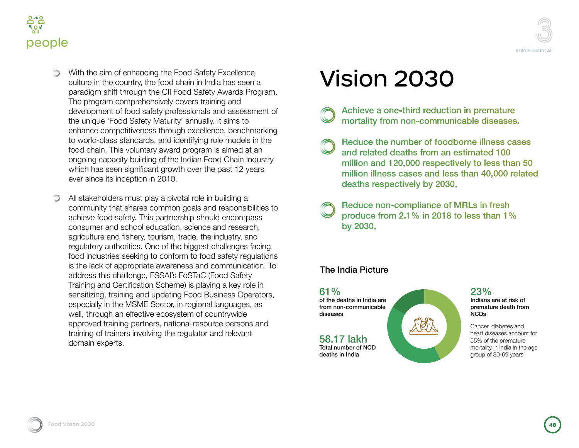



- With the aim of enhancing the Food Safety Excellence culture in the country, the food chain in India has seen a paradigm shift through the CII Food Safety Awards Program. The program comprehensively covers training and development of food safety professionals and assessment of the unique 'Food Safety Maturity' annually. It aims to enhance competitiveness through excellence, benchmarking to world-class standards, and identifying role models in the food chain. This voluntary award program is aimed at an ongoing capacity building of the Indian Food Chain Industry which has seen significant growth over the past 12 years ever since its inception in 2010.
- All stakeholders must play a pivotal role in building a  $\circlearrowright$ community that shares common goals and responsibilities to achieve food safety. This partnership should encompass consumer and school education, science and research, agriculture and fishery, tourism, trade, the industry, and regulatory authorities. One of the biggest challenges facing food industries seeking to conform to food safety regulations is the lack of appropriate awareness and communication. To address this challenge, FSSAI's FoSTaC (Food Safety Training and Certification Scheme) is playing a key role in sensitizing, training and updating Food Business Operators, especially in the MSME Sector, in regional languages, as well, through an effective ecosystem of countrywide approved training partners, national resource persons and training of trainers involving the regulator and relevant domain experts.

# Vision 2030

- Achieve a one-third reduction in premature mortality from non-communicable diseases.
- Reduce the number of foodborne illness cases and related deaths from an estimated 100 million and 120,000 respectively to less than 50 million illness cases and less than 40,000 related deaths respectively by 2030.
- Reduce non-compliance of MRLs in fresh produce from 2.1% in 2018 to less than 1% by 2030.

### The India Picture

61% of the deaths in India are from non-communicable diseases

58.17 lakh Total number of NCD deaths in India

#### 23% Indians are at risk of premature death from NCDs

Cancer, diabetes and heart diseases account for 55% of the premature mortality in India in the age group of 30-69 years

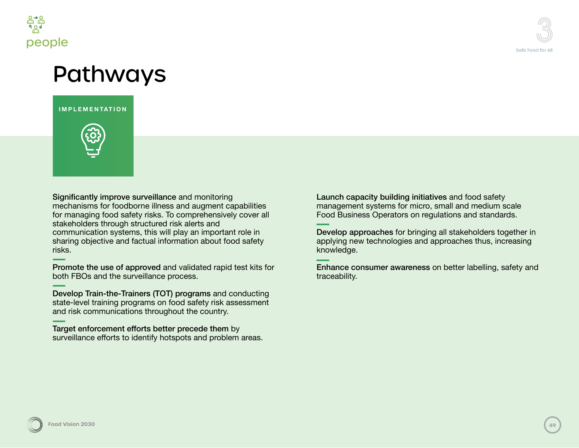

### Pathways

**IMPLEMENTATION**



Significantly improve surveillance and monitoring mechanisms for foodborne illness and augment capabilities for managing food safety risks. To comprehensively cover all stakeholders through structured risk alerts and communication systems, this will play an important role in sharing objective and factual information about food safety risks.

Promote the use of approved and validated rapid test kits for both FBOs and the surveillance process.

Develop Train-the-Trainers (TOT) programs and conducting state-level training programs on food safety risk assessment and risk communications throughout the country.

Target enforcement efforts better precede them by surveillance efforts to identify hotspots and problem areas. Launch capacity building initiatives and food safety management systems for micro, small and medium scale Food Business Operators on regulations and standards.

Develop approaches for bringing all stakeholders together in applying new technologies and approaches thus, increasing knowledge.

Enhance consumer awareness on better labelling, safety and traceability.